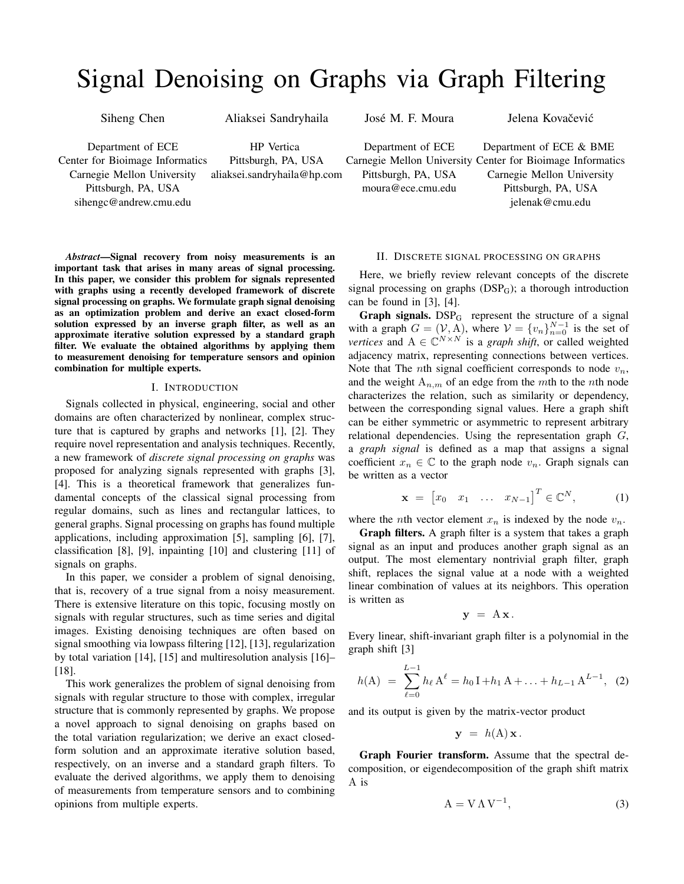# Signal Denoising on Graphs via Graph Filtering

Siheng Chen

Aliaksei Sandryhaila

José M. F. Moura

Department of ECE Center for Bioimage Informatics Carnegie Mellon University Pittsburgh, PA, USA sihengc@andrew.cmu.edu

HP Vertica Pittsburgh, PA, USA aliaksei.sandryhaila@hp.com

*Abstract*—Signal recovery from noisy measurements is an important task that arises in many areas of signal processing. In this paper, we consider this problem for signals represented with graphs using a recently developed framework of discrete signal processing on graphs. We formulate graph signal denoising as an optimization problem and derive an exact closed-form solution expressed by an inverse graph filter, as well as an approximate iterative solution expressed by a standard graph filter. We evaluate the obtained algorithms by applying them to measurement denoising for temperature sensors and opinion combination for multiple experts.

## I. INTRODUCTION

Signals collected in physical, engineering, social and other domains are often characterized by nonlinear, complex structure that is captured by graphs and networks [1], [2]. They require novel representation and analysis techniques. Recently, a new framework of *discrete signal processing on graphs* was proposed for analyzing signals represented with graphs [3], [4]. This is a theoretical framework that generalizes fundamental concepts of the classical signal processing from regular domains, such as lines and rectangular lattices, to general graphs. Signal processing on graphs has found multiple applications, including approximation [5], sampling [6], [7], classification [8], [9], inpainting [10] and clustering [11] of signals on graphs.

In this paper, we consider a problem of signal denoising, that is, recovery of a true signal from a noisy measurement. There is extensive literature on this topic, focusing mostly on signals with regular structures, such as time series and digital images. Existing denoising techniques are often based on signal smoothing via lowpass filtering [12], [13], regularization by total variation [14], [15] and multiresolution analysis [16]– [18].

This work generalizes the problem of signal denoising from signals with regular structure to those with complex, irregular structure that is commonly represented by graphs. We propose a novel approach to signal denoising on graphs based on the total variation regularization; we derive an exact closedform solution and an approximate iterative solution based, respectively, on an inverse and a standard graph filters. To evaluate the derived algorithms, we apply them to denoising of measurements from temperature sensors and to combining opinions from multiple experts.

Department of ECE Carnegie Mellon University Center for Bioimage Informatics Pittsburgh, PA, USA moura@ece.cmu.edu Department of ECE & BME Carnegie Mellon University Pittsburgh, PA, USA jelenak@cmu.edu

## II. DISCRETE SIGNAL PROCESSING ON GRAPHS

Here, we briefly review relevant concepts of the discrete signal processing on graphs  $(DSP<sub>G</sub>)$ ; a thorough introduction can be found in [3], [4].

**Graph signals.**  $DSP_G$  represent the structure of a signal with a graph  $G = (\mathcal{V}, A)$ , where  $\mathcal{V} = \{v_n\}_{n=0}^{N-1}$  is the set of *vertices* and  $A \in \mathbb{C}^{N \times N}$  is a *graph shift*, or called weighted adjacency matrix, representing connections between vertices. Note that The *n*th signal coefficient corresponds to node  $v_n$ , and the weight  $A_{n,m}$  of an edge from the *m*th to the *n*th node characterizes the relation, such as similarity or dependency, between the corresponding signal values. Here a graph shift can be either symmetric or asymmetric to represent arbitrary relational dependencies. Using the representation graph *G*, a *graph signal* is defined as a map that assigns a signal coefficient  $x_n \in \mathbb{C}$  to the graph node  $v_n$ . Graph signals can be written as a vector

$$
\mathbf{x} = \begin{bmatrix} x_0 & x_1 & \dots & x_{N-1} \end{bmatrix}^T \in \mathbb{C}^N, \quad (1)
$$

where the *n*th vector element  $x_n$  is indexed by the node  $v_n$ .

Graph filters. A graph filter is a system that takes a graph signal as an input and produces another graph signal as an output. The most elementary nontrivial graph filter, graph shift, replaces the signal value at a node with a weighted linear combination of values at its neighbors. This operation is written as

$$
\mathbf{y} = A \mathbf{x}.
$$

Every linear, shift-invariant graph filter is a polynomial in the graph shift [3]

$$
h(A) = \sum_{\ell=0}^{L-1} h_{\ell} A^{\ell} = h_0 I + h_1 A + \ldots + h_{L-1} A^{L-1}, \quad (2)
$$

and its output is given by the matrix-vector product

$$
\mathbf{y} = h(\mathbf{A})\mathbf{x}.
$$

Graph Fourier transform. Assume that the spectral decomposition, or eigendecomposition of the graph shift matrix A is

$$
A = V \Lambda V^{-1}, \tag{3}
$$

### Jelena Kovačević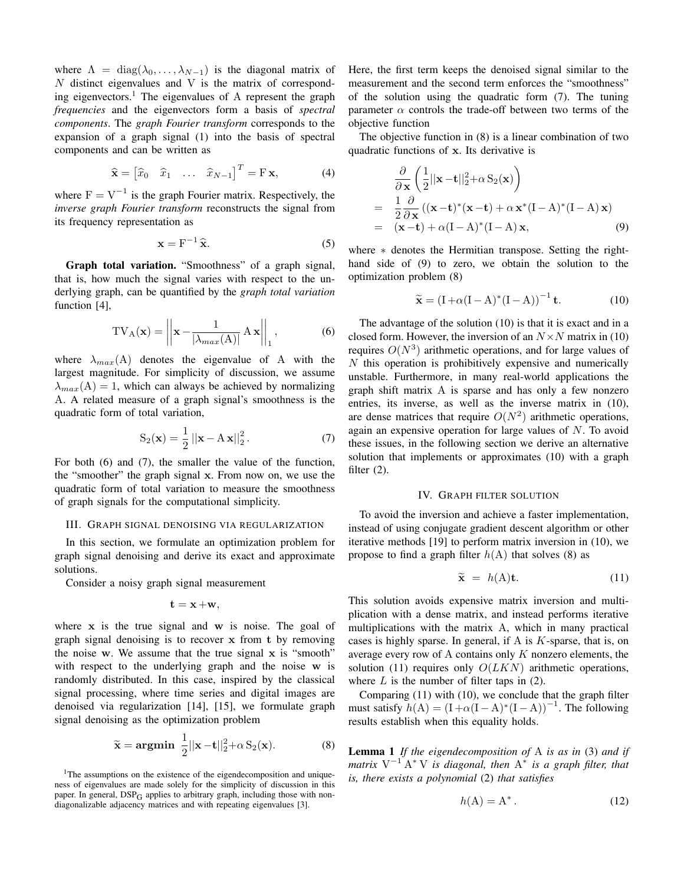where  $\Lambda = \text{diag}(\lambda_0, \ldots, \lambda_{N-1})$  is the diagonal matrix of *N* distinct eigenvalues and V is the matrix of corresponding eigenvectors.<sup>1</sup> The eigenvalues of A represent the graph *frequencies* and the eigenvectors form a basis of *spectral components*. The *graph Fourier transform* corresponds to the expansion of a graph signal (1) into the basis of spectral components and can be written as

$$
\widehat{\mathbf{x}} = \begin{bmatrix} \widehat{x}_0 & \widehat{x}_1 & \dots & \widehat{x}_{N-1} \end{bmatrix}^T = \mathbf{F} \mathbf{x},\tag{4}
$$

where  $F=V^{-1}$  is the graph Fourier matrix. Respectively, the *inverse graph Fourier transform* reconstructs the signal from its frequency representation as

$$
\mathbf{x} = \mathbf{F}^{-1}\hat{\mathbf{x}}.\tag{5}
$$

Graph total variation. "Smoothness" of a graph signal, that is, how much the signal varies with respect to the underlying graph, can be quantified by the *graph total variation* function [4],

$$
TV_{A}(\mathbf{x}) = \left| \left| \mathbf{x} - \frac{1}{\left| \lambda_{max}(A) \right|} A \mathbf{x} \right| \right|_1, \tag{6}
$$

where  $\lambda_{max}(A)$  denotes the eigenvalue of A with the largest magnitude. For simplicity of discussion, we assume  $\lambda_{max}(A) = 1$ , which can always be achieved by normalizing A. A related measure of a graph signal's smoothness is the quadratic form of total variation,

$$
S_2(\mathbf{x}) = \frac{1}{2} ||\mathbf{x} - A \mathbf{x}||_2^2.
$$
 (7)

For both (6) and (7), the smaller the value of the function, the "smoother" the graph signal x. From now on, we use the quadratic form of total variation to measure the smoothness of graph signals for the computational simplicity.

#### III. GRAPH SIGNAL DENOISING VIA REGULARIZATION

In this section, we formulate an optimization problem for graph signal denoising and derive its exact and approximate solutions.

Consider a noisy graph signal measurement

$$
\mathbf{t}=\mathbf{x}+\mathbf{w},
$$

where  $x$  is the true signal and  $w$  is noise. The goal of graph signal denoising is to recover x from t by removing the noise w. We assume that the true signal  $x$  is "smooth" with respect to the underlying graph and the noise w is randomly distributed. In this case, inspired by the classical signal processing, where time series and digital images are denoised via regularization [14], [15], we formulate graph signal denoising as the optimization problem

$$
\widetilde{\mathbf{x}} = \mathbf{argmin} \ \frac{1}{2} ||\mathbf{x} - \mathbf{t}||_2^2 + \alpha \, \mathbf{S}_2(\mathbf{x}). \tag{8}
$$

<sup>1</sup>The assumptions on the existence of the eigendecomposition and uniqueness of eigenvalues are made solely for the simplicity of discussion in this paper. In general,  $DSP_G$  applies to arbitrary graph, including those with nondiagonalizable adjacency matrices and with repeating eigenvalues [3].

Here, the first term keeps the denoised signal similar to the measurement and the second term enforces the "smoothness" of the solution using the quadratic form (7). The tuning parameter  $\alpha$  controls the trade-off between two terms of the objective function

The objective function in (8) is a linear combination of two quadratic functions of x. Its derivative is

$$
\frac{\partial}{\partial \mathbf{x}} \left( \frac{1}{2} ||\mathbf{x} - \mathbf{t}||_2^2 + \alpha S_2(\mathbf{x}) \right)
$$
\n
$$
= \frac{1}{2} \frac{\partial}{\partial \mathbf{x}} ((\mathbf{x} - \mathbf{t})^* (\mathbf{x} - \mathbf{t}) + \alpha \mathbf{x}^* (I - A)^* (I - A) \mathbf{x})
$$
\n
$$
= (\mathbf{x} - \mathbf{t}) + \alpha (I - A)^* (I - A) \mathbf{x}, \tag{9}
$$

where  $*$  denotes the Hermitian transpose. Setting the righthand side of (9) to zero, we obtain the solution to the optimization problem (8)

$$
\widetilde{\mathbf{x}} = (\mathbf{I} + \alpha(\mathbf{I} - \mathbf{A})^*(\mathbf{I} - \mathbf{A}))^{-1} \mathbf{t}.
$$
 (10)

The advantage of the solution (10) is that it is exact and in a closed form. However, the inversion of an  $N \times N$  matrix in (10) requires  $O(N^3)$  arithmetic operations, and for large values of *N* this operation is prohibitively expensive and numerically unstable. Furthermore, in many real-world applications the graph shift matrix A is sparse and has only a few nonzero entries, its inverse, as well as the inverse matrix in (10), are dense matrices that require  $O(N^2)$  arithmetic operations, again an expensive operation for large values of *N*. To avoid these issues, in the following section we derive an alternative solution that implements or approximates (10) with a graph filter  $(2)$ .

## IV. GRAPH FILTER SOLUTION

To avoid the inversion and achieve a faster implementation, instead of using conjugate gradient descent algorithm or other iterative methods [19] to perform matrix inversion in (10), we propose to find a graph filter  $h(A)$  that solves (8) as

$$
\widetilde{\mathbf{x}} = h(\mathbf{A})\mathbf{t}.\tag{11}
$$

This solution avoids expensive matrix inversion and multiplication with a dense matrix, and instead performs iterative multiplications with the matrix A, which in many practical cases is highly sparse. In general, if A is *K*-sparse, that is, on average every row of A contains only *K* nonzero elements, the solution (11) requires only *O*(*LKN*) arithmetic operations, where  $L$  is the number of filter taps in  $(2)$ .

Comparing (11) with (10), we conclude that the graph filter must satisfy  $h(A) = (I + \alpha(I - A))^*(I - A))^{-1}$ . The following results establish when this equality holds.

Lemma 1 *If the eigendecomposition of* A *is as in* (3) *and if matrix*  $V^{-1}$   $A^*$  V *is diagonal, then*  $A^*$  *is a graph filter, that is, there exists a polynomial* (2) *that satisfies*

$$
h(A) = A^* \tag{12}
$$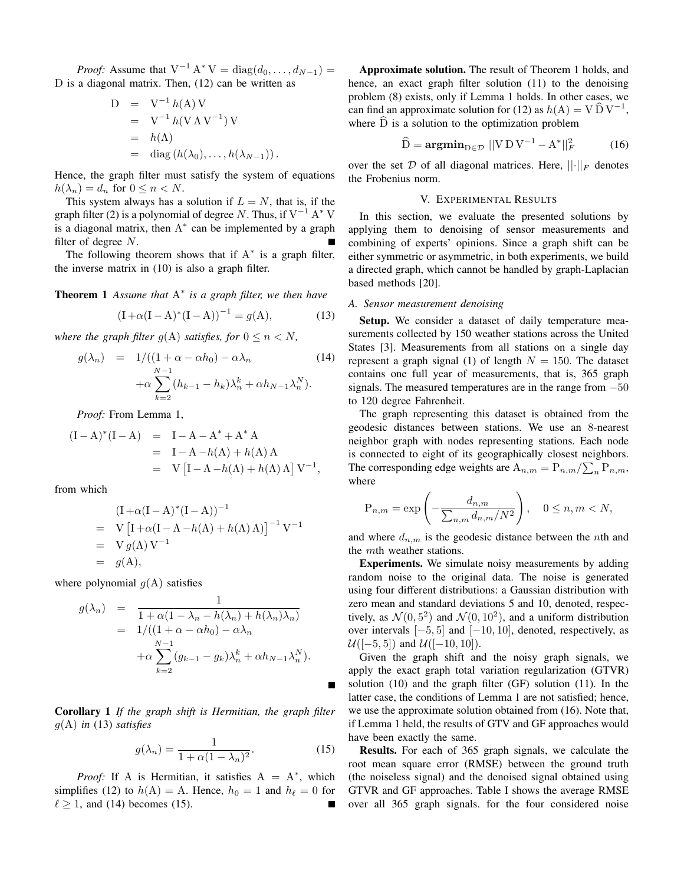*Proof:* Assume that  $V^{-1} A^* V = \text{diag}(d_0, ..., d_{N-1}) =$ D is a diagonal matrix. Then, (12) can be written as

$$
D = V^{-1} h(A) V
$$
  
= V^{-1} h(V \Lambda V^{-1}) V  
= h(\Lambda)  
= diag (h(\lambda\_0), ..., h(\lambda\_{N-1})).

Hence, the graph filter must satisfy the system of equations  $h(\lambda_n) = d_n$  for  $0 \leq n < N$ .

This system always has a solution if  $L = N$ , that is, if the graph filter (2) is a polynomial of degree *N*. Thus, if  $V^{-1}$  A<sup>\*</sup> V is a diagonal matrix, then  $A^*$  can be implemented by a graph filter of degree *N*.

The following theorem shows that if  $A^*$  is a graph filter, the inverse matrix in (10) is also a graph filter.

**Theorem 1** Assume that  $A^*$  is a graph filter, we then have

$$
(I + \alpha (I - A)^{*}(I - A))^{-1} = g(A), \qquad (13)
$$

*where the graph filter*  $g(A)$  *satisfies, for*  $0 \le n \le N$ *,* 

$$
g(\lambda_n) = 1/((1+\alpha - \alpha h_0) - \alpha \lambda_n \qquad (14)
$$

$$
+ \alpha \sum_{k=2}^{N-1} (h_{k-1} - h_k) \lambda_n^k + \alpha h_{N-1} \lambda_n^N).
$$

*Proof:* From Lemma 1,

$$
(I - A)^{*}(I - A) = I - A - A^{*} + A^{*} A
$$
  
= I - A - h(A) + h(A) A  
= V [I - \Lambda - h(\Lambda) + h(\Lambda) \Lambda] V<sup>-1</sup>,

from which

$$
(I + \alpha (I - A)^* (I - A))^{-1}
$$
  
= V [I + \alpha (I - \Lambda - h(\Lambda) + h(\Lambda) \Lambda)]^{-1} V^{-1}  
= V g(\Lambda) V^{-1}  
= g(A),

where polynomial  $g(A)$  satisfies

$$
g(\lambda_n) = \frac{1}{1 + \alpha(1 - \lambda_n - h(\lambda_n) + h(\lambda_n)\lambda_n)}
$$
  
= 
$$
1/((1 + \alpha - \alpha h_0) - \alpha \lambda_n + \alpha \sum_{k=2}^{N-1} (g_{k-1} - g_k)\lambda_n^k + \alpha h_{N-1}\lambda_n^N).
$$

Corollary 1 *If the graph shift is Hermitian, the graph filter g*(A) *in* (13) *satisfies*

$$
g(\lambda_n) = \frac{1}{1 + \alpha (1 - \lambda_n)^2}.
$$
 (15)

П

*Proof:* If A is Hermitian, it satisfies  $A = A^*$ , which simplifies (12) to  $h(A) = A$ . Hence,  $h_0 = 1$  and  $h_\ell = 0$  for  $\ell \geq 1$ , and (14) becomes (15).

Approximate solution. The result of Theorem 1 holds, and hence, an exact graph filter solution (11) to the denoising problem (8) exists, only if Lemma 1 holds. In other cases, we can find an approximate solution for (12) as  $h(A) = V \tilde{D} V^{-1}$ , where  $D$  is a solution to the optimization problem

$$
\widehat{\mathbf{D}} = \mathbf{argmin}_{\mathbf{D} \in \mathcal{D}} ||\mathbf{V} \mathbf{D} \mathbf{V}^{-1} - \mathbf{A}^*||_F^2 \tag{16}
$$

over the set  $D$  of all diagonal matrices. Here,  $||\cdot||_F$  denotes the Frobenius norm.

### V. EXPERIMENTAL RESULTS

In this section, we evaluate the presented solutions by applying them to denoising of sensor measurements and combining of experts' opinions. Since a graph shift can be either symmetric or asymmetric, in both experiments, we build a directed graph, which cannot be handled by graph-Laplacian based methods [20].

#### *A. Sensor measurement denoising*

Setup. We consider a dataset of daily temperature measurements collected by 150 weather stations across the United States [3]. Measurements from all stations on a single day represent a graph signal (1) of length  $N = 150$ . The dataset contains one full year of measurements, that is, 365 graph signals. The measured temperatures are in the range from  $-50$ to 120 degree Fahrenheit.

The graph representing this dataset is obtained from the geodesic distances between stations. We use an 8-nearest neighbor graph with nodes representing stations. Each node is connected to eight of its geographically closest neighbors. The corresponding edge weights are  $A_{n,m} = P_{n,m}/\sum_{n} P_{n,m}$ , where

$$
P_{n,m} = \exp\left(-\frac{d_{n,m}}{\sum_{n,m} d_{n,m}/N^2}\right), \quad 0 \le n, m < N,
$$

and where  $d_{n,m}$  is the geodesic distance between the *n*th and the *m*th weather stations.

Experiments. We simulate noisy measurements by adding random noise to the original data. The noise is generated using four different distributions: a Gaussian distribution with zero mean and standard deviations 5 and 10, denoted, respectively, as  $\mathcal{N}(0, 5^2)$  and  $\mathcal{N}(0, 10^2)$ , and a uniform distribution over intervals  $[-5, 5]$  and  $[-10, 10]$ , denoted, respectively, as  $U([-5, 5])$  and  $U([-10, 10])$ .

Given the graph shift and the noisy graph signals, we apply the exact graph total variation regularization (GTVR) solution (10) and the graph filter (GF) solution (11). In the latter case, the conditions of Lemma 1 are not satisfied; hence, we use the approximate solution obtained from (16). Note that, if Lemma 1 held, the results of GTV and GF approaches would have been exactly the same.

Results. For each of 365 graph signals, we calculate the root mean square error (RMSE) between the ground truth (the noiseless signal) and the denoised signal obtained using GTVR and GF approaches. Table I shows the average RMSE over all 365 graph signals. for the four considered noise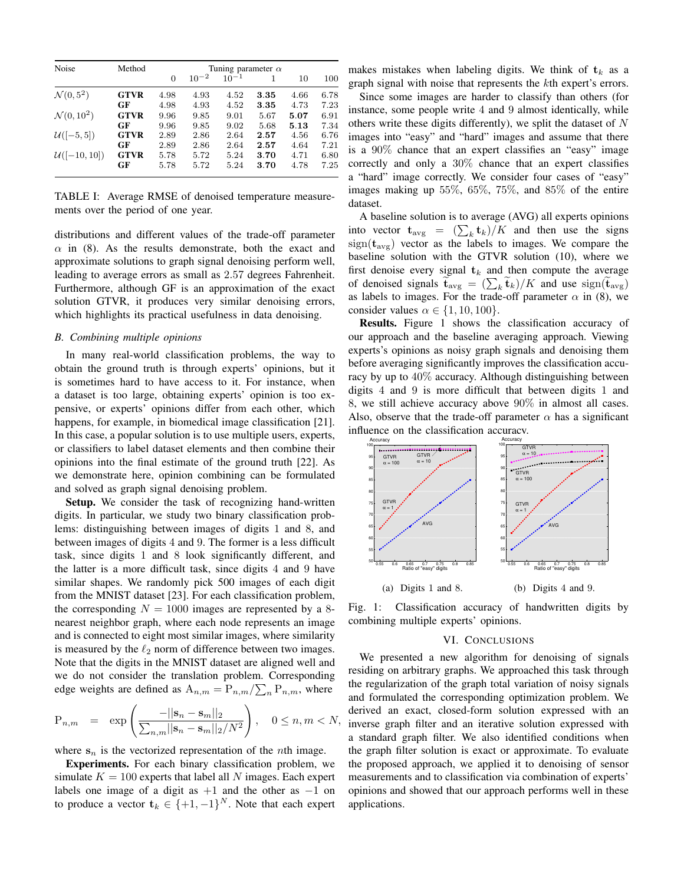| Noise                  | Method      | Tuning parameter $\alpha$ |           |           |      |      |      |
|------------------------|-------------|---------------------------|-----------|-----------|------|------|------|
|                        |             | $\Omega$                  | $10^{-2}$ | $10^{-1}$ |      | 10   | 100  |
| $\mathcal{N}(0, 5^2)$  | <b>GTVR</b> | 4.98                      | 4.93      | 4.52      | 3.35 | 4.66 | 6.78 |
|                        | GF          | 4.98                      | 4.93      | 4.52      | 3.35 | 4.73 | 7.23 |
| $\mathcal{N}(0, 10^2)$ | <b>GTVR</b> | 9.96                      | 9.85      | 9.01      | 5.67 | 5.07 | 6.91 |
|                        | GF          | 9.96                      | 9.85      | 9.02      | 5.68 | 5.13 | 7.34 |
| $U([-5, 5])$           | <b>GTVR</b> | 2.89                      | 2.86      | 2.64      | 2.57 | 4.56 | 6.76 |
|                        | GF          | 2.89                      | 2.86      | 2.64      | 2.57 | 4.64 | 7.21 |
| $U([-10, 10])$         | <b>GTVR</b> | 5.78                      | 5.72      | 5.24      | 3.70 | 4.71 | 6.80 |
|                        | GF          | 5.78                      | 5.72      | 5.24      | 3.70 | 4.78 | 7.25 |

TABLE I: Average RMSE of denoised temperature measurements over the period of one year.

distributions and different values of the trade-off parameter  $\alpha$  in (8). As the results demonstrate, both the exact and approximate solutions to graph signal denoising perform well, leading to average errors as small as 2*.*57 degrees Fahrenheit. Furthermore, although GF is an approximation of the exact solution GTVR, it produces very similar denoising errors, which highlights its practical usefulness in data denoising.

#### *B. Combining multiple opinions*

In many real-world classification problems, the way to obtain the ground truth is through experts' opinions, but it is sometimes hard to have access to it. For instance, when a dataset is too large, obtaining experts' opinion is too expensive, or experts' opinions differ from each other, which happens, for example, in biomedical image classification [21]. In this case, a popular solution is to use multiple users, experts, or classifiers to label dataset elements and then combine their opinions into the final estimate of the ground truth [22]. As we demonstrate here, opinion combining can be formulated and solved as graph signal denoising problem.

Setup. We consider the task of recognizing hand-written digits. In particular, we study two binary classification problems: distinguishing between images of digits 1 and 8, and between images of digits 4 and 9. The former is a less difficult task, since digits 1 and 8 look significantly different, and the latter is a more difficult task, since digits 4 and 9 have similar shapes. We randomly pick 500 images of each digit from the MNIST dataset [23]. For each classification problem, the corresponding  $N = 1000$  images are represented by a 8nearest neighbor graph, where each node represents an image and is connected to eight most similar images, where similarity is measured by the  $\ell_2$  norm of difference between two images. Note that the digits in the MNIST dataset are aligned well and we do not consider the translation problem. Corresponding edge weights are defined as  $A_{n,m} = P_{n,m}/\sum_{n} P_{n,m}$ , where

$$
P_{n,m} = \exp\left(\frac{-||\mathbf{s}_n - \mathbf{s}_m||_2}{\sum_{n,m}||\mathbf{s}_n - \mathbf{s}_m||_2/N^2}\right), \quad 0 \le n, m < N,
$$

where  $s_n$  is the vectorized representation of the *n*th image.

Experiments. For each binary classification problem, we simulate  $K = 100$  experts that label all N images. Each expert labels one image of a digit as  $+1$  and the other as  $-1$  on to produce a vector  $\mathbf{t}_k \in \{+1, -1\}^N$ . Note that each expert makes mistakes when labeling digits. We think of  $t_k$  as a graph signal with noise that represents the *k*th expert's errors.

Since some images are harder to classify than others (for instance, some people write 4 and 9 almost identically, while others write these digits differently), we split the dataset of *N* images into "easy" and "hard" images and assume that there is a 90% chance that an expert classifies an "easy" image correctly and only a 30% chance that an expert classifies a "hard" image correctly. We consider four cases of "easy" images making up 55%, 65%, 75%, and 85% of the entire dataset.

A baseline solution is to average (AVG) all experts opinions into vector  $\mathbf{t}_{\text{avg}} = (\sum_{k} \mathbf{t}_{k})/K$  and then use the signs  $sign(t_{avg})$  vector as the labels to images. We compare the baseline solution with the GTVR solution (10), where we first denoise every signal  $t_k$  and then compute the average of denoised signals  $\tilde{\mathbf{t}}_{\text{avg}} = (\sum_{k} \tilde{\mathbf{t}}_{k})/K$  and use  $\text{sign}(\tilde{\mathbf{t}}_{\text{avg}})$ as labels to images. For the trade-off parameter  $\alpha$  in (8), we consider values  $\alpha \in \{1, 10, 100\}$ .

**Results.** Figure 1 shows the classification accuracy of our approach and the baseline averaging approach. Viewing experts's opinions as noisy graph signals and denoising them before averaging significantly improves the classification accuracy by up to 40% accuracy. Although distinguishing between digits 4 and 9 is more difficult that between digits 1 and 8, we still achieve accuracy above 90% in almost all cases. Also, observe that the trade-off parameter  $\alpha$  has a significant influence on the classification accuracy.



Fig. 1: Classification accuracy of handwritten digits by combining multiple experts' opinions.

# VI. CONCLUSIONS

We presented a new algorithm for denoising of signals residing on arbitrary graphs. We approached this task through the regularization of the graph total variation of noisy signals and formulated the corresponding optimization problem. We derived an exact, closed-form solution expressed with an inverse graph filter and an iterative solution expressed with a standard graph filter. We also identified conditions when the graph filter solution is exact or approximate. To evaluate the proposed approach, we applied it to denoising of sensor measurements and to classification via combination of experts' opinions and showed that our approach performs well in these applications.